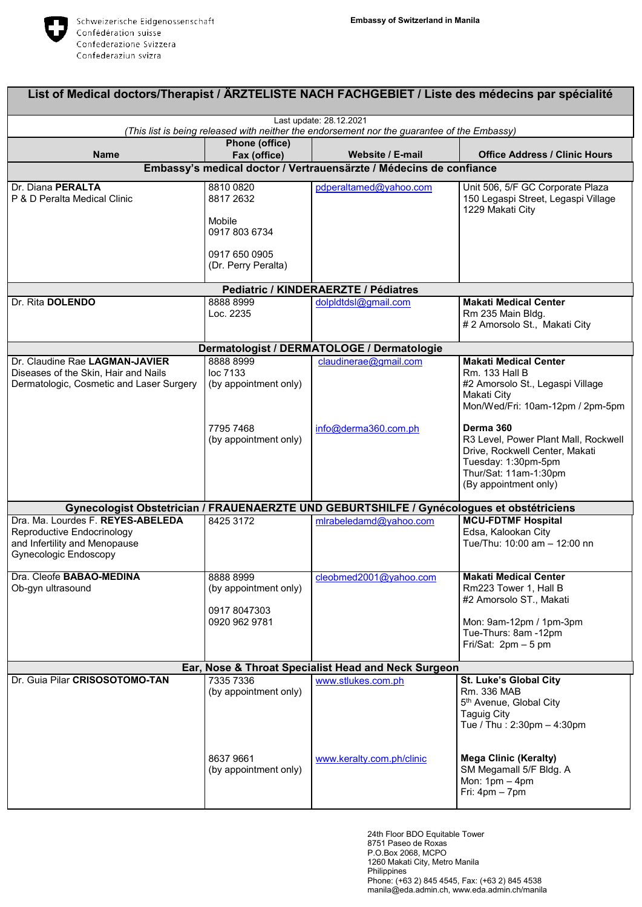

| List of Medical doctors/Therapist / ARZTELISTE NACH FACHGEBIET / Liste des médecins par spécialité                               |                                                                                           |                                                                                           |                                                                                                                                                              |  |  |  |
|----------------------------------------------------------------------------------------------------------------------------------|-------------------------------------------------------------------------------------------|-------------------------------------------------------------------------------------------|--------------------------------------------------------------------------------------------------------------------------------------------------------------|--|--|--|
| Last update: 28.12.2021<br>(This list is being released with neither the endorsement nor the guarantee of the Embassy)           |                                                                                           |                                                                                           |                                                                                                                                                              |  |  |  |
|                                                                                                                                  | Phone (office)                                                                            |                                                                                           |                                                                                                                                                              |  |  |  |
| <b>Name</b>                                                                                                                      | Fax (office)                                                                              | Website / E-mail                                                                          | <b>Office Address / Clinic Hours</b>                                                                                                                         |  |  |  |
| Embassy's medical doctor / Vertrauensärzte / Médecins de confiance                                                               |                                                                                           |                                                                                           |                                                                                                                                                              |  |  |  |
| Dr. Diana PERALTA<br>P & D Peralta Medical Clinic                                                                                | 8810 0820<br>8817 2632<br>Mobile<br>0917 803 6734<br>0917 650 0905<br>(Dr. Perry Peralta) | pdperaltamed@yahoo.com                                                                    | Unit 506, 5/F GC Corporate Plaza<br>150 Legaspi Street, Legaspi Village<br>1229 Makati City                                                                  |  |  |  |
|                                                                                                                                  |                                                                                           | Pediatric / KINDERAERZTE / Pédiatres                                                      |                                                                                                                                                              |  |  |  |
| Dr. Rita DOLENDO                                                                                                                 | 8888 8999<br>Loc. 2235                                                                    | dolpldtdsl@gmail.com                                                                      | <b>Makati Medical Center</b><br>Rm 235 Main Bldg.<br># 2 Amorsolo St., Makati City                                                                           |  |  |  |
|                                                                                                                                  |                                                                                           | Dermatologist / DERMATOLOGE / Dermatologie                                                |                                                                                                                                                              |  |  |  |
| Dr. Claudine Rae LAGMAN-JAVIER<br>Diseases of the Skin, Hair and Nails<br>Dermatologic, Cosmetic and Laser Surgery               | 8888 8999<br>loc 7133<br>(by appointment only)                                            | claudinerae@gmail.com                                                                     | <b>Makati Medical Center</b><br>Rm. 133 Hall B<br>#2 Amorsolo St., Legaspi Village<br>Makati City<br>Mon/Wed/Fri: 10am-12pm / 2pm-5pm                        |  |  |  |
|                                                                                                                                  | 7795 7468<br>(by appointment only)                                                        | info@derma360.com.ph                                                                      | Derma 360<br>R3 Level, Power Plant Mall, Rockwell<br>Drive, Rockwell Center, Makati<br>Tuesday: 1:30pm-5pm<br>Thur/Sat: 11am-1:30pm<br>(By appointment only) |  |  |  |
|                                                                                                                                  |                                                                                           | Gynecologist Obstetrician / FRAUENAERZTE UND GEBURTSHILFE / Gynécologues et obstétriciens |                                                                                                                                                              |  |  |  |
| Dra. Ma. Lourdes F. REYES-ABELEDA<br>Reproductive Endocrinology<br>and Infertility and Menopause<br><b>Gynecologic Endoscopy</b> | 8425 3172                                                                                 | mlrabeledamd@yahoo.com                                                                    | <b>MCU-FDTMF Hospital</b><br>Edsa, Kalookan City<br>Tue/Thu: 10:00 am - 12:00 nn                                                                             |  |  |  |
| Dra. Cleofe <b>BABAO-MEDINA</b><br>Ob-gyn ultrasound                                                                             | 8888 8999<br>(by appointment only)<br>0917 8047303<br>0920 962 9781                       | cleobmed2001@yahoo.com                                                                    | <b>Makati Medical Center</b><br>Rm223 Tower 1, Hall B<br>#2 Amorsolo ST., Makati<br>Mon: 9am-12pm / 1pm-3pm<br>Tue-Thurs: 8am -12pm<br>Fri/Sat: $2pm - 5pm$  |  |  |  |
| Ear, Nose & Throat Specialist Head and Neck Surgeon                                                                              |                                                                                           |                                                                                           |                                                                                                                                                              |  |  |  |
| Dr. Guia Pilar CRISOSOTOMO-TAN                                                                                                   | 7335 7336<br>(by appointment only)                                                        | www.stlukes.com.ph                                                                        | <b>St. Luke's Global City</b><br>Rm. 336 MAB<br>5 <sup>th</sup> Avenue, Global City<br><b>Taguig City</b><br>Tue / Thu : 2:30pm - 4:30pm                     |  |  |  |
|                                                                                                                                  | 86379661<br>(by appointment only)                                                         | www.keralty.com.ph/clinic                                                                 | <b>Mega Clinic (Keralty)</b><br>SM Megamall 5/F Bldg. A<br>Mon: $1pm - 4pm$<br>Fri: $4pm - 7pm$                                                              |  |  |  |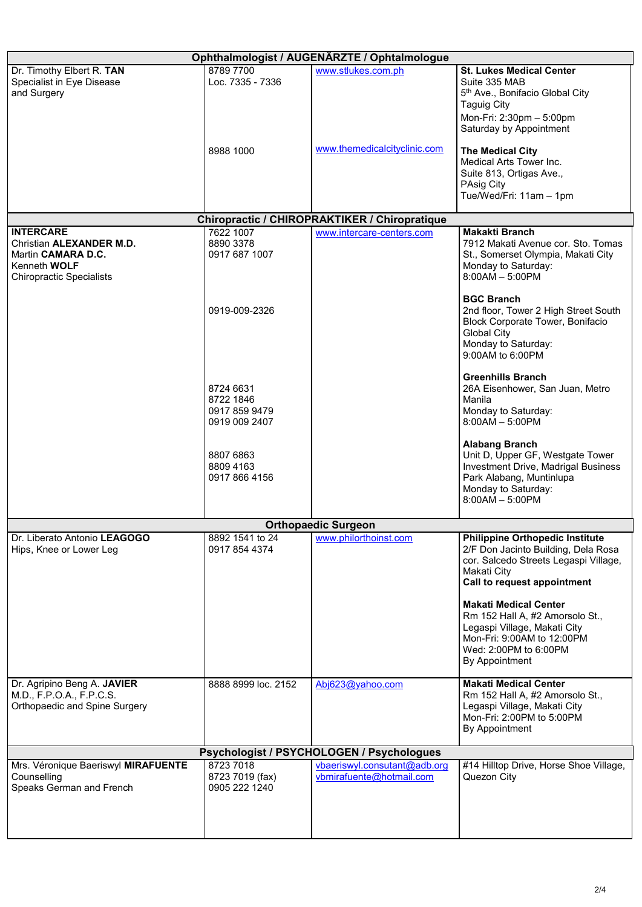| Ophthalmologist / AUGENÄRZTE / Ophtalmologue |                                  |                                                                            |                                                                               |  |  |  |
|----------------------------------------------|----------------------------------|----------------------------------------------------------------------------|-------------------------------------------------------------------------------|--|--|--|
| Dr. Timothy Elbert R. TAN                    | 8789 7700                        | www.stlukes.com.ph                                                         | <b>St. Lukes Medical Center</b>                                               |  |  |  |
| Specialist in Eye Disease                    | Loc. 7335 - 7336                 |                                                                            | Suite 335 MAB                                                                 |  |  |  |
| and Surgery                                  |                                  |                                                                            | 5 <sup>th</sup> Ave., Bonifacio Global City                                   |  |  |  |
|                                              |                                  |                                                                            | <b>Taguig City</b>                                                            |  |  |  |
|                                              |                                  |                                                                            | Mon-Fri: 2:30pm - 5:00pm                                                      |  |  |  |
|                                              |                                  |                                                                            | Saturday by Appointment                                                       |  |  |  |
|                                              | 8988 1000                        | www.themedicalcityclinic.com                                               | <b>The Medical City</b>                                                       |  |  |  |
|                                              |                                  |                                                                            | Medical Arts Tower Inc.                                                       |  |  |  |
|                                              |                                  |                                                                            | Suite 813, Ortigas Ave.,                                                      |  |  |  |
|                                              |                                  |                                                                            | PAsig City                                                                    |  |  |  |
|                                              |                                  |                                                                            | Tue/Wed/Fri: 11am - 1pm                                                       |  |  |  |
|                                              |                                  |                                                                            |                                                                               |  |  |  |
| <b>INTERCARE</b>                             | 7622 1007                        | Chiropractic / CHIROPRAKTIKER / Chiropratique<br>www.intercare-centers.com | <b>Makakti Branch</b>                                                         |  |  |  |
| Christian ALEXANDER M.D.                     | 8890 3378                        |                                                                            | 7912 Makati Avenue cor. Sto. Tomas                                            |  |  |  |
| Martin CAMARA D.C.                           | 0917 687 1007                    |                                                                            | St., Somerset Olympia, Makati City                                            |  |  |  |
| Kenneth WOLF                                 |                                  |                                                                            | Monday to Saturday:                                                           |  |  |  |
| <b>Chiropractic Specialists</b>              |                                  |                                                                            | $8:00AM - 5:00PM$                                                             |  |  |  |
|                                              |                                  |                                                                            |                                                                               |  |  |  |
|                                              |                                  |                                                                            | <b>BGC Branch</b>                                                             |  |  |  |
|                                              | 0919-009-2326                    |                                                                            | 2nd floor, Tower 2 High Street South                                          |  |  |  |
|                                              |                                  |                                                                            | Block Corporate Tower, Bonifacio                                              |  |  |  |
|                                              |                                  |                                                                            | <b>Global City</b><br>Monday to Saturday:                                     |  |  |  |
|                                              |                                  |                                                                            | 9:00AM to 6:00PM                                                              |  |  |  |
|                                              |                                  |                                                                            |                                                                               |  |  |  |
|                                              |                                  |                                                                            | <b>Greenhills Branch</b>                                                      |  |  |  |
|                                              | 8724 6631                        |                                                                            | 26A Eisenhower, San Juan, Metro                                               |  |  |  |
|                                              | 8722 1846                        |                                                                            | Manila                                                                        |  |  |  |
|                                              | 0917 859 9479                    |                                                                            | Monday to Saturday:                                                           |  |  |  |
|                                              | 0919 009 2407                    |                                                                            | $8:00AM - 5:00PM$                                                             |  |  |  |
|                                              |                                  |                                                                            | <b>Alabang Branch</b>                                                         |  |  |  |
|                                              | 8807 6863                        |                                                                            | Unit D, Upper GF, Westgate Tower                                              |  |  |  |
|                                              | 8809 4163                        |                                                                            | Investment Drive, Madrigal Business                                           |  |  |  |
|                                              | 0917 866 4156                    |                                                                            | Park Alabang, Muntinlupa                                                      |  |  |  |
|                                              |                                  |                                                                            | Monday to Saturday:                                                           |  |  |  |
|                                              |                                  |                                                                            | $8:00AM - 5:00PM$                                                             |  |  |  |
|                                              |                                  |                                                                            |                                                                               |  |  |  |
|                                              |                                  | <b>Orthopaedic Surgeon</b>                                                 |                                                                               |  |  |  |
| Dr. Liberato Antonio LEAGOGO                 | 8892 1541 to 24<br>0917 854 4374 | www.philorthoinst.com                                                      | <b>Philippine Orthopedic Institute</b><br>2/F Don Jacinto Building, Dela Rosa |  |  |  |
| Hips, Knee or Lower Leg                      |                                  |                                                                            | cor. Salcedo Streets Legaspi Village,                                         |  |  |  |
|                                              |                                  |                                                                            | Makati City                                                                   |  |  |  |
|                                              |                                  |                                                                            | Call to request appointment                                                   |  |  |  |
|                                              |                                  |                                                                            |                                                                               |  |  |  |
|                                              |                                  |                                                                            | <b>Makati Medical Center</b>                                                  |  |  |  |
|                                              |                                  |                                                                            | Rm 152 Hall A, #2 Amorsolo St.,                                               |  |  |  |
|                                              |                                  |                                                                            | Legaspi Village, Makati City                                                  |  |  |  |
|                                              |                                  |                                                                            | Mon-Fri: 9:00AM to 12:00PM<br>Wed: 2:00PM to 6:00PM                           |  |  |  |
|                                              |                                  |                                                                            | By Appointment                                                                |  |  |  |
|                                              |                                  |                                                                            |                                                                               |  |  |  |
| Dr. Agripino Beng A. JAVIER                  | 8888 8999 loc. 2152              | Abj623@yahoo.com                                                           | <b>Makati Medical Center</b>                                                  |  |  |  |
| M.D., F.P.O.A., F.P.C.S.                     |                                  |                                                                            | Rm 152 Hall A, #2 Amorsolo St.,                                               |  |  |  |
| Orthopaedic and Spine Surgery                |                                  |                                                                            | Legaspi Village, Makati City                                                  |  |  |  |
|                                              |                                  |                                                                            | Mon-Fri: 2:00PM to 5:00PM                                                     |  |  |  |
|                                              |                                  |                                                                            | By Appointment                                                                |  |  |  |
| Psychologist / PSYCHOLOGEN / Psychologues    |                                  |                                                                            |                                                                               |  |  |  |
| Mrs. Véronique Baeriswyl MIRAFUENTE          | 8723 7018                        | vbaeriswyl.consutant@adb.org                                               | #14 Hilltop Drive, Horse Shoe Village,                                        |  |  |  |
| Counselling                                  | 8723 7019 (fax)                  | vbmirafuente@hotmail.com                                                   | Quezon City                                                                   |  |  |  |
| Speaks German and French                     | 0905 222 1240                    |                                                                            |                                                                               |  |  |  |
|                                              |                                  |                                                                            |                                                                               |  |  |  |
|                                              |                                  |                                                                            |                                                                               |  |  |  |
|                                              |                                  |                                                                            |                                                                               |  |  |  |
|                                              |                                  |                                                                            |                                                                               |  |  |  |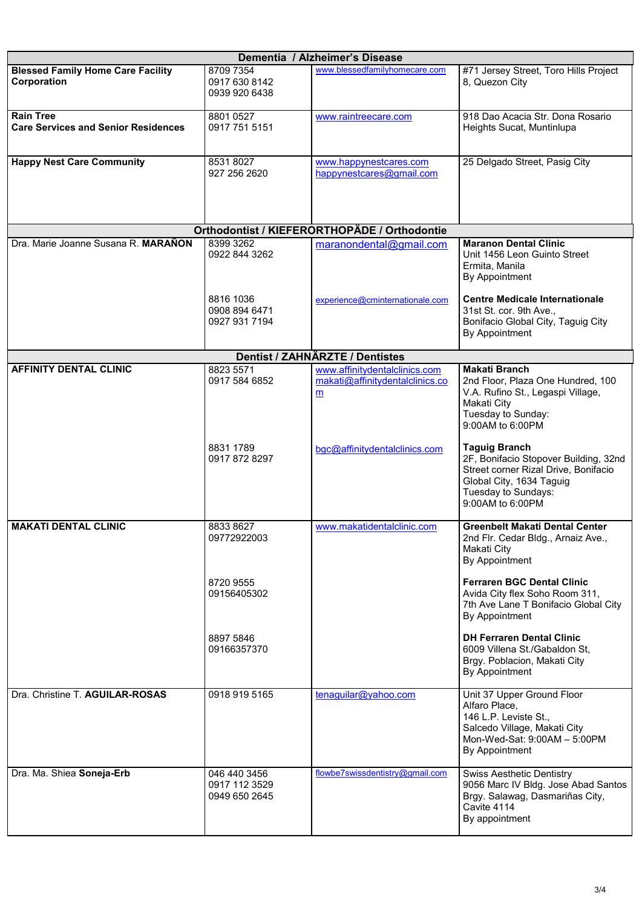| Dementia / Alzheimer's Disease                                 |                                                |                                                                       |                                                                                                                                                                              |  |  |  |
|----------------------------------------------------------------|------------------------------------------------|-----------------------------------------------------------------------|------------------------------------------------------------------------------------------------------------------------------------------------------------------------------|--|--|--|
| <b>Blessed Family Home Care Facility</b><br>Corporation        | 8709 7354<br>0917 630 8142<br>0939 920 6438    | www.blessedfamilyhomecare.com                                         | #71 Jersey Street, Toro Hills Project<br>8, Quezon City                                                                                                                      |  |  |  |
| <b>Rain Tree</b><br><b>Care Services and Senior Residences</b> | 8801 0527<br>0917 751 5151                     | www.raintreecare.com                                                  | 918 Dao Acacia Str. Dona Rosario<br>Heights Sucat, Muntinlupa                                                                                                                |  |  |  |
| <b>Happy Nest Care Community</b>                               | 85318027<br>927 256 2620                       | www.happynestcares.com<br>happynestcares@gmail.com                    | 25 Delgado Street, Pasig City                                                                                                                                                |  |  |  |
|                                                                |                                                | Orthodontist / KIEFERORTHOPÄDE / Orthodontie                          |                                                                                                                                                                              |  |  |  |
| Dra. Marie Joanne Susana R. MARAÑON                            | 8399 3262<br>0922 844 3262                     | maranondental@gmail.com                                               | <b>Maranon Dental Clinic</b><br>Unit 1456 Leon Guinto Street<br>Ermita, Manila<br>By Appointment                                                                             |  |  |  |
|                                                                | 8816 1036<br>0908 894 6471<br>0927 931 7194    | experience@cminternationale.com                                       | <b>Centre Medicale Internationale</b><br>31st St. cor. 9th Ave.,<br>Bonifacio Global City, Taguig City<br>By Appointment                                                     |  |  |  |
|                                                                |                                                | <b>Dentist / ZAHNÄRZTE / Dentistes</b>                                |                                                                                                                                                                              |  |  |  |
| <b>AFFINITY DENTAL CLINIC</b>                                  | 8823 5571<br>0917 584 6852                     | www.affinitydentalclinics.com<br>makati@affinitydentalclinics.co<br>m | <b>Makati Branch</b><br>2nd Floor, Plaza One Hundred, 100<br>V.A. Rufino St., Legaspi Village,<br>Makati City<br>Tuesday to Sunday:<br>9:00AM to 6:00PM                      |  |  |  |
|                                                                | 8831 1789<br>0917 872 8297                     | bgc@affinitydentalclinics.com                                         | <b>Taguig Branch</b><br>2F, Bonifacio Stopover Building, 32nd<br>Street corner Rizal Drive, Bonifacio<br>Global City, 1634 Taguig<br>Tuesday to Sundays:<br>9:00AM to 6:00PM |  |  |  |
| <b>MAKATI DENTAL CLINIC</b>                                    | 8833 8627<br>09772922003                       | www.makatidentalclinic.com                                            | <b>Greenbelt Makati Dental Center</b><br>2nd Flr. Cedar Bldg., Arnaiz Ave.,<br>Makati City<br>By Appointment                                                                 |  |  |  |
|                                                                | 8720 9555<br>09156405302                       |                                                                       | <b>Ferraren BGC Dental Clinic</b><br>Avida City flex Soho Room 311,<br>7th Ave Lane T Bonifacio Global City<br>By Appointment                                                |  |  |  |
|                                                                | 8897 5846<br>09166357370                       |                                                                       | <b>DH Ferraren Dental Clinic</b><br>6009 Villena St./Gabaldon St,<br>Brgy. Poblacion, Makati City<br>By Appointment                                                          |  |  |  |
| Dra. Christine T. AGUILAR-ROSAS                                | 0918 919 5165                                  | tenaguilar@yahoo.com                                                  | Unit 37 Upper Ground Floor<br>Alfaro Place,<br>146 L.P. Leviste St.,<br>Salcedo Village, Makati City<br>Mon-Wed-Sat: 9:00AM - 5:00PM<br>By Appointment                       |  |  |  |
| Dra. Ma. Shiea Soneja-Erb                                      | 046 440 3456<br>0917 112 3529<br>0949 650 2645 | flowbe7swissdentistry@gmail.com                                       | <b>Swiss Aesthetic Dentistry</b><br>9056 Marc IV Bldg. Jose Abad Santos<br>Brgy. Salawag, Dasmariñas City,<br>Cavite 4114<br>By appointment                                  |  |  |  |